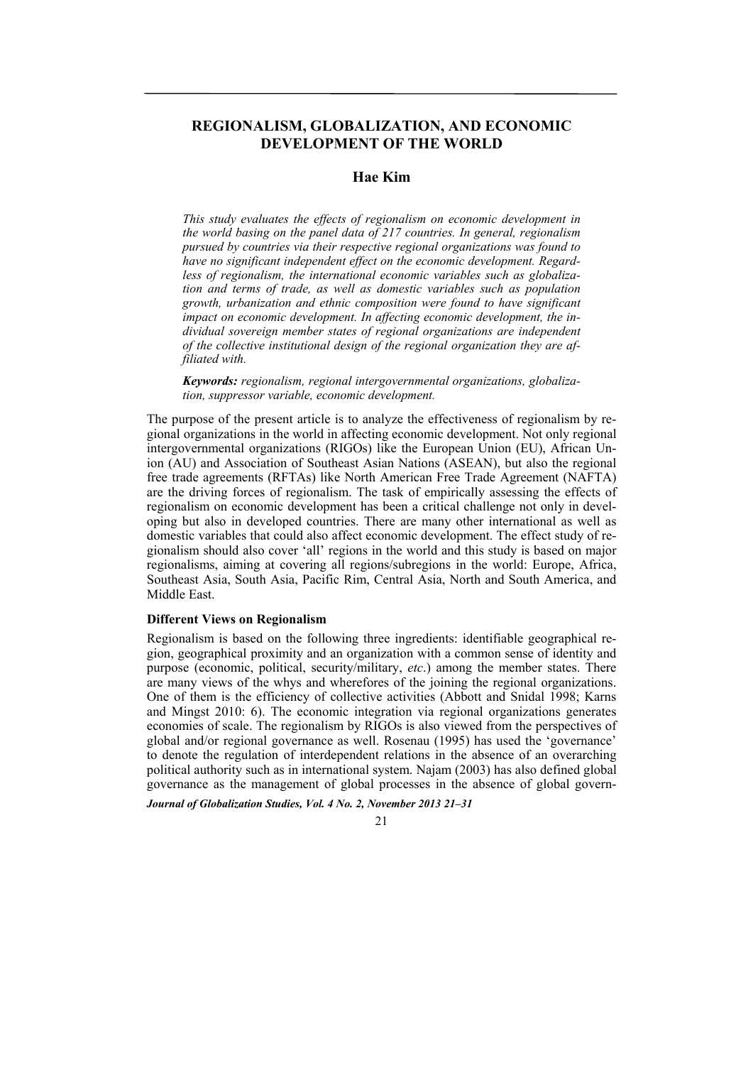# **REGIONALISM, GLOBALIZATION, AND ECONOMIC DEVELOPMENT OF THE WORLD**

# **Hae Kim**

*This study evaluates the effects of regionalism on economic development in the world basing on the panel data of 217 countries. In general, regionalism pursued by countries via their respective regional organizations was found to have no significant independent effect on the economic development. Regardless of regionalism, the international economic variables such as globalization and terms of trade, as well as domestic variables such as population growth, urbanization and ethnic composition were found to have significant impact on economic development. In affecting economic development, the individual sovereign member states of regional organizations are independent of the collective institutional design of the regional organization they are affiliated with.* 

*Keywords: regionalism, regional intergovernmental organizations, globalization, suppressor variable, economic development.* 

The purpose of the present article is to analyze the effectiveness of regionalism by regional organizations in the world in affecting economic development. Not only regional intergovernmental organizations (RIGOs) like the European Union (EU), African Union (AU) and Association of Southeast Asian Nations (ASEAN), but also the regional free trade agreements (RFTAs) like North American Free Trade Agreement (NAFTA) are the driving forces of regionalism. The task of empirically assessing the effects of regionalism on economic development has been a critical challenge not only in developing but also in developed countries. There are many other international as well as domestic variables that could also affect economic development. The effect study of regionalism should also cover 'all' regions in the world and this study is based on major regionalisms, aiming at covering all regions/subregions in the world: Europe, Africa, Southeast Asia, South Asia, Pacific Rim, Central Asia, North and South America, and Middle East.

## **Different Views on Regionalism**

Regionalism is based on the following three ingredients: identifiable geographical region, geographical proximity and an organization with a common sense of identity and purpose (economic, political, security/military, *etc*.) among the member states. There are many views of the whys and wherefores of the joining the regional organizations. One of them is the efficiency of collective activities (Abbott and Snidal 1998; Karns and Mingst 2010: 6). The economic integration via regional organizations generates economies of scale. The regionalism by RIGOs is also viewed from the perspectives of global and/or regional governance as well. Rosenau (1995) has used the 'governance' to denote the regulation of interdependent relations in the absence of an overarching political authority such as in international system. Najam (2003) has also defined global governance as the management of global processes in the absence of global govern-

*Journal of Globalization Studies, Vol. 4 No. 2, November 2013 21–31*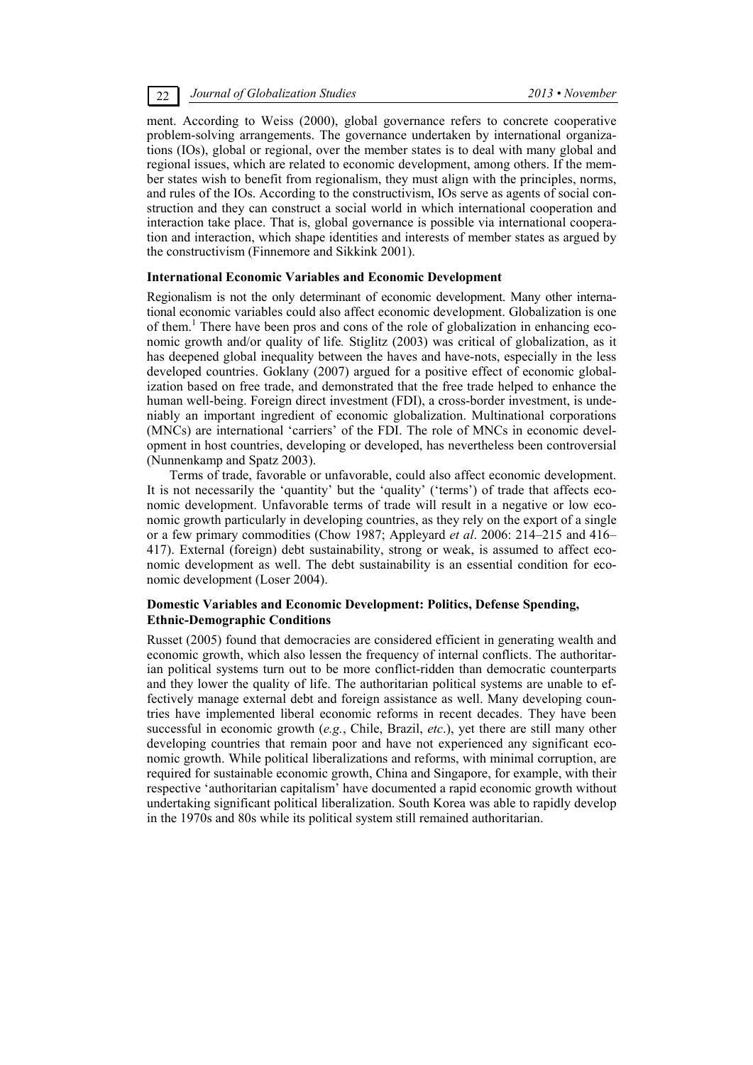22 *Journal of Globalization Studies 2013 • November* 

ment. According to Weiss (2000), global governance refers to concrete cooperative problem-solving arrangements. The governance undertaken by international organizations (IOs), global or regional, over the member states is to deal with many global and regional issues, which are related to economic development, among others. If the member states wish to benefit from regionalism, they must align with the principles, norms, and rules of the IOs. According to the constructivism, IOs serve as agents of social construction and they can construct a social world in which international cooperation and interaction take place. That is, global governance is possible via international cooperation and interaction, which shape identities and interests of member states as argued by the constructivism (Finnemore and Sikkink 2001).

# **International Economic Variables and Economic Development**

Regionalism is not the only determinant of economic development. Many other international economic variables could also affect economic development. Globalization is one of them.<sup>1</sup> There have been pros and cons of the role of globalization in enhancing economic growth and/or quality of life*.* Stiglitz (2003) was critical of globalization, as it has deepened global inequality between the haves and have-nots, especially in the less developed countries. Goklany (2007) argued for a positive effect of economic globalization based on free trade, and demonstrated that the free trade helped to enhance the human well-being. Foreign direct investment (FDI), a cross-border investment, is undeniably an important ingredient of economic globalization. Multinational corporations (MNCs) are international 'carriers' of the FDI. The role of MNCs in economic development in host countries, developing or developed, has nevertheless been controversial (Nunnenkamp and Spatz 2003).

Terms of trade, favorable or unfavorable, could also affect economic development. It is not necessarily the 'quantity' but the 'quality' ('terms') of trade that affects economic development. Unfavorable terms of trade will result in a negative or low economic growth particularly in developing countries, as they rely on the export of a single or a few primary commodities (Chow 1987; Appleyard *et al*. 2006: 214–215 and 416– 417). External (foreign) debt sustainability, strong or weak, is assumed to affect economic development as well. The debt sustainability is an essential condition for economic development (Loser 2004).

# **Domestic Variables and Economic Development: Politics, Defense Spending, Ethnic-Demographic Conditions**

Russet (2005) found that democracies are considered efficient in generating wealth and economic growth, which also lessen the frequency of internal conflicts. The authoritarian political systems turn out to be more conflict-ridden than democratic counterparts and they lower the quality of life. The authoritarian political systems are unable to effectively manage external debt and foreign assistance as well. Many developing countries have implemented liberal economic reforms in recent decades. They have been successful in economic growth (*e.g.*, Chile, Brazil, *etc*.), yet there are still many other developing countries that remain poor and have not experienced any significant economic growth. While political liberalizations and reforms, with minimal corruption, are required for sustainable economic growth, China and Singapore, for example, with their respective 'authoritarian capitalism' have documented a rapid economic growth without undertaking significant political liberalization. South Korea was able to rapidly develop in the 1970s and 80s while its political system still remained authoritarian.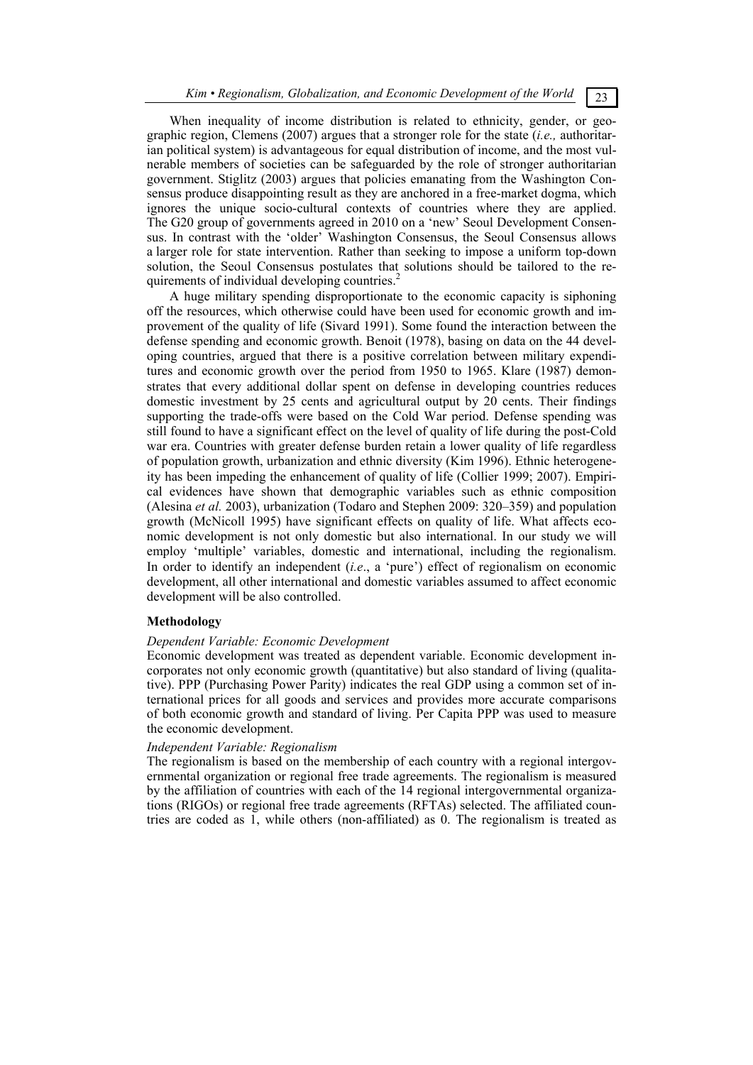When inequality of income distribution is related to ethnicity, gender, or geographic region, Clemens (2007) argues that a stronger role for the state (*i.e.,* authoritarian political system) is advantageous for equal distribution of income, and the most vulnerable members of societies can be safeguarded by the role of stronger authoritarian government. Stiglitz (2003) argues that policies emanating from the Washington Consensus produce disappointing result as they are anchored in a free-market dogma, which ignores the unique socio-cultural contexts of countries where they are applied. The G20 group of governments agreed in 2010 on a 'new' Seoul Development Consensus. In contrast with the 'older' Washington Consensus, the Seoul Consensus allows a larger role for state intervention. Rather than seeking to impose a uniform top-down solution, the Seoul Consensus postulates that solutions should be tailored to the requirements of individual developing countries.<sup>2</sup>

A huge military spending disproportionate to the economic capacity is siphoning off the resources, which otherwise could have been used for economic growth and improvement of the quality of life (Sivard 1991). Some found the interaction between the defense spending and economic growth. Benoit (1978), basing on data on the 44 developing countries, argued that there is a positive correlation between military expenditures and economic growth over the period from 1950 to 1965. Klare (1987) demonstrates that every additional dollar spent on defense in developing countries reduces domestic investment by 25 cents and agricultural output by 20 cents. Their findings supporting the trade-offs were based on the Cold War period. Defense spending was still found to have a significant effect on the level of quality of life during the post-Cold war era. Countries with greater defense burden retain a lower quality of life regardless of population growth, urbanization and ethnic diversity (Kim 1996). Ethnic heterogeneity has been impeding the enhancement of quality of life (Collier 1999; 2007). Empirical evidences have shown that demographic variables such as ethnic composition (Alesina *et al.* 2003), urbanization (Todaro and Stephen 2009: 320–359) and population growth (McNicoll 1995) have significant effects on quality of life. What affects economic development is not only domestic but also international. In our study we will employ 'multiple' variables, domestic and international, including the regionalism. In order to identify an independent (*i.e*., a 'pure') effect of regionalism on economic development, all other international and domestic variables assumed to affect economic development will be also controlled.

#### **Methodology**

#### *Dependent Variable: Economic Development*

Economic development was treated as dependent variable. Economic development incorporates not only economic growth (quantitative) but also standard of living (qualitative). PPP (Purchasing Power Parity) indicates the real GDP using a common set of international prices for all goods and services and provides more accurate comparisons of both economic growth and standard of living. Per Capita PPP was used to measure the economic development.

#### *Independent Variable: Regionalism*

The regionalism is based on the membership of each country with a regional intergovernmental organization or regional free trade agreements. The regionalism is measured by the affiliation of countries with each of the 14 regional intergovernmental organizations (RIGOs) or regional free trade agreements (RFTAs) selected. The affiliated countries are coded as 1, while others (non-affiliated) as 0. The regionalism is treated as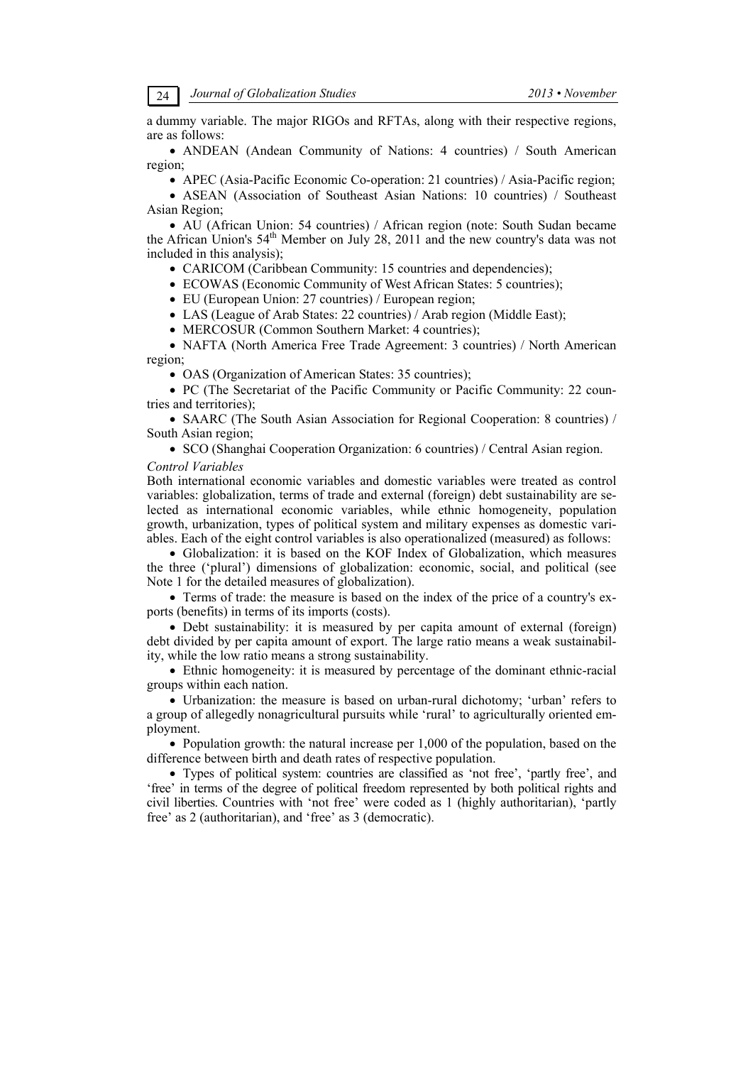a dummy variable. The major RIGOs and RFTAs, along with their respective regions, are as follows:

 ANDEAN (Andean Community of Nations: 4 countries) / South American region;

APEC (Asia-Pacific Economic Co-operation: 21 countries) / Asia-Pacific region;

 ASEAN (Association of Southeast Asian Nations: 10 countries) / Southeast Asian Region;

 AU (African Union: 54 countries) / African region (note: South Sudan became the African Union's  $54<sup>th</sup>$  Member on July 28, 2011 and the new country's data was not included in this analysis);

• CARICOM (Caribbean Community: 15 countries and dependencies);

ECOWAS (Economic Community of West African States: 5 countries);

EU (European Union: 27 countries) / European region;

• LAS (League of Arab States: 22 countries) / Arab region (Middle East);

• MERCOSUR (Common Southern Market: 4 countries):

• NAFTA (North America Free Trade Agreement: 3 countries) / North American region;

• OAS (Organization of American States: 35 countries);

 PC (The Secretariat of the Pacific Community or Pacific Community: 22 countries and territories);

• SAARC (The South Asian Association for Regional Cooperation: 8 countries) / South Asian region;

SCO (Shanghai Cooperation Organization: 6 countries) / Central Asian region.

#### *Control Variables*

Both international economic variables and domestic variables were treated as control variables: globalization, terms of trade and external (foreign) debt sustainability are selected as international economic variables, while ethnic homogeneity, population growth, urbanization, types of political system and military expenses as domestic variables. Each of the eight control variables is also operationalized (measured) as follows:

• Globalization: it is based on the KOF Index of Globalization, which measures the three ('plural') dimensions of globalization: economic, social, and political (see Note 1 for the detailed measures of globalization).

 Terms of trade: the measure is based on the index of the price of a country's exports (benefits) in terms of its imports (costs).

 Debt sustainability: it is measured by per capita amount of external (foreign) debt divided by per capita amount of export. The large ratio means a weak sustainability, while the low ratio means a strong sustainability.

 Ethnic homogeneity: it is measured by percentage of the dominant ethnic-racial groups within each nation.

 Urbanization: the measure is based on urban-rural dichotomy; 'urban' refers to a group of allegedly nonagricultural pursuits while 'rural' to agriculturally oriented employment.

• Population growth: the natural increase per  $1,000$  of the population, based on the difference between birth and death rates of respective population.

 Types of political system: countries are classified as 'not free', 'partly free', and 'free' in terms of the degree of political freedom represented by both political rights and civil liberties. Countries with 'not free' were coded as 1 (highly authoritarian), 'partly free' as 2 (authoritarian), and 'free' as 3 (democratic).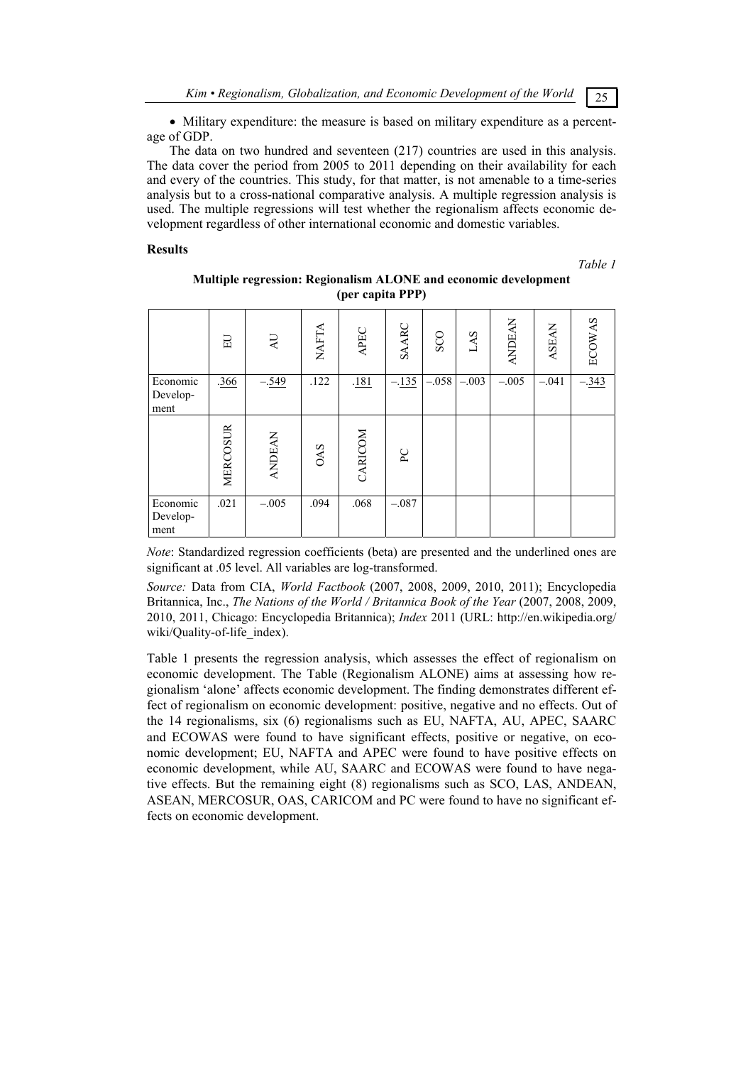Military expenditure: the measure is based on military expenditure as a percentage of GDP.

The data on two hundred and seventeen (217) countries are used in this analysis. The data cover the period from 2005 to 2011 depending on their availability for each and every of the countries. This study, for that matter, is not amenable to a time-series analysis but to a cross-national comparative analysis. A multiple regression analysis is used. The multiple regressions will test whether the regionalism affects economic development regardless of other international economic and domestic variables.

## **Results**

*Table 1* 

|                              | $\Xi$    | $\overline{A}$ U | NAFTA | <b>APEC</b> | SAARC       | SCO     | LAS     | <b>ANDEAN</b> | <b>ASEAN</b> | ECOWAS  |
|------------------------------|----------|------------------|-------|-------------|-------------|---------|---------|---------------|--------------|---------|
| Economic<br>Develop-<br>ment | .366     | $-.549$          | .122  | .181        | $-.135$     | $-.058$ | $-.003$ | $-.005$       | $-.041$      | $-.343$ |
|                              | MERCOSUR | <b>ANDEAN</b>    | OAS   | CARICOM     | $_{\rm PC}$ |         |         |               |              |         |
| Economic<br>Develop-<br>ment | .021     | $-.005$          | .094  | .068        | $-.087$     |         |         |               |              |         |

#### **Multiple regression: Regionalism ALONE and economic development (per capita PPP)**

*Note*: Standardized regression coefficients (beta) are presented and the underlined ones are significant at .05 level. All variables are log-transformed.

*Source:* Data from CIA, *World Factbook* (2007, 2008, 2009, 2010, 2011); Encyclopedia Britannica, Inc., *The Nations of the World / Britannica Book of the Year* (2007, 2008, 2009, 2010, 2011, Chicago: Encyclopedia Britannica); *Index* 2011 (URL: http://en.wikipedia.org/ wiki/Quality-of-life\_index).

Table 1 presents the regression analysis, which assesses the effect of regionalism on economic development. The Table (Regionalism ALONE) aims at assessing how regionalism 'alone' affects economic development. The finding demonstrates different effect of regionalism on economic development: positive, negative and no effects. Out of the 14 regionalisms, six (6) regionalisms such as EU, NAFTA, AU, APEC, SAARC and ECOWAS were found to have significant effects, positive or negative, on economic development; EU, NAFTA and APEC were found to have positive effects on economic development, while AU, SAARC and ECOWAS were found to have negative effects. But the remaining eight (8) regionalisms such as SCO, LAS, ANDEAN, ASEAN, MERCOSUR, OAS, CARICOM and PC were found to have no significant effects on economic development.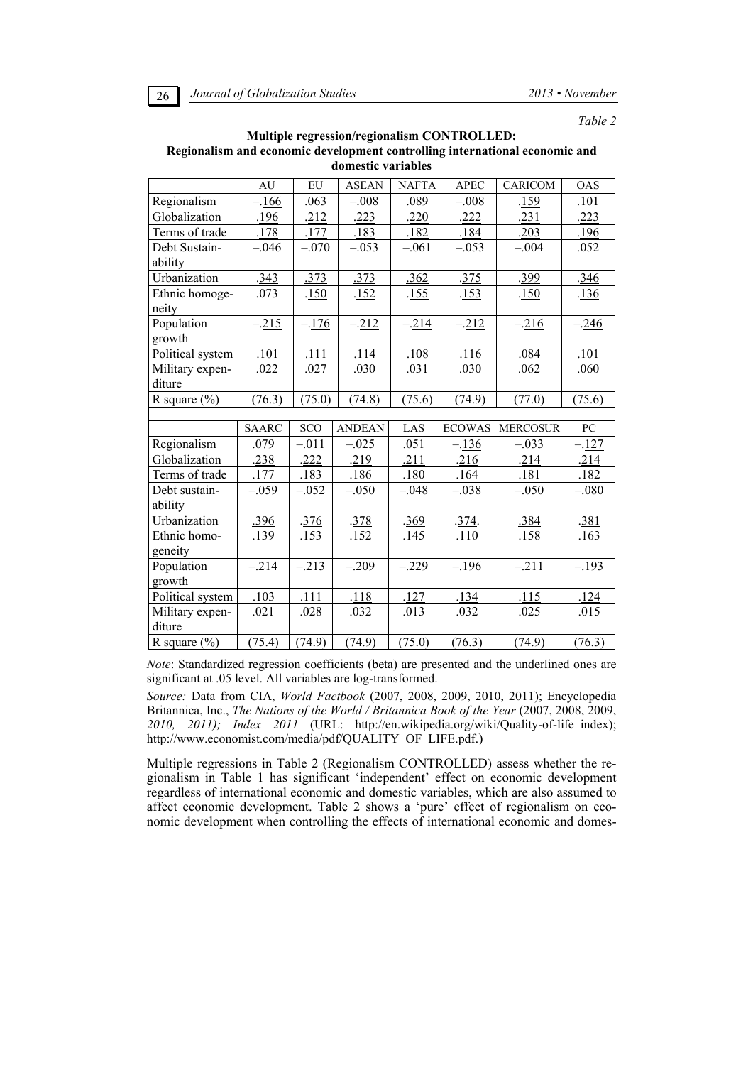*Table 2* 

| domestic variables        |              |            |               |              |               |                 |             |
|---------------------------|--------------|------------|---------------|--------------|---------------|-----------------|-------------|
|                           | AU           | ${\rm EU}$ | <b>ASEAN</b>  | <b>NAFTA</b> | <b>APEC</b>   | CARICOM         | OAS         |
| Regionalism<br>$-.166$    |              | .063       | $-.008$       | .089         | $-.008$       | .159            | .101        |
| Globalization<br>.196     |              | .212       | .223          | .220         | .222          | .231            | .223        |
| Terms of trade<br>.178    |              | .177       | .183          | .182         | .184          | .203            | .196        |
| Debt Sustain-<br>ability  | $-.046$      | $-.070$    | $-.053$       | $-.061$      | $-.053$       | $-.004$         | .052        |
| Urbanization              | .343         | .373       | .373          | .362         | .375          | .399            | .346        |
| Ethnic homoge-<br>neity   | .073         | .150       | .152          | .155         | .153          | .150            | .136        |
| Population<br>growth      | $-.215$      | $-.176$    | $-.212$       | $-.214$      | $-.212$       | $-.216$         | $-.246$     |
| Political system          | .101         | .111       | .114          | .108         | .116          | .084            | .101        |
| Military expen-<br>diture | .022         | .027       | .030          | .031         | .030          | .062            | .060        |
| R square $(\% )$          | (76.3)       | (75.0)     | (74.8)        | (75.6)       | (74.9)        | (77.0)          | (75.6)      |
|                           |              |            |               |              |               |                 |             |
|                           | <b>SAARC</b> | SCO        | <b>ANDEAN</b> | LAS          | <b>ECOWAS</b> | <b>MERCOSUR</b> | PC          |
| Regionalism               | .079         | $-.011$    | $-.025$       | .051         | $-.136$       | $-.033$         | $-.127$     |
| Globalization             | .238         | .222       | .219          | .211         | .216          | .214            | .214        |
| Terms of trade            | .177         | .183       | .186          | .180         | .164          | .181            | .182        |
| Debt sustain-<br>ability  | $-.059$      | $-.052$    | $-.050$       | $-.048$      | $-.038$       | $-.050$         | $-.080$     |
| Urbanization              | .396         | .376       | .378          | .369         | .374.         | .384            | .381        |
| Ethnic homo-<br>geneity   | .139         | .153       | .152          | <u>.145</u>  | .110          | .158            | <u>.163</u> |
| Population<br>growth      | $-.214$      | $-.213$    | $-.209$       | $-.229$      | $-.196$       | $-.211$         | $-.193$     |
| Political system          | .103         | .111       | .118          | .127         | .134          | .115            | .124        |
| Military expen-<br>diture | .021         | .028       | .032          | .013         | .032          | .025            | .015        |
| R square $(\% )$          | (75.4)       | (74.9)     | (74.9)        | (75.0)       | (76.3)        | (74.9)          | (76.3)      |

# **Multiple regression/regionalism CONTROLLED: Regionalism and economic development controlling international economic and**

*Note*: Standardized regression coefficients (beta) are presented and the underlined ones are significant at .05 level. All variables are log-transformed.

*Source:* Data from CIA, *World Factbook* (2007, 2008, 2009, 2010, 2011); Encyclopedia Britannica, Inc., *The Nations of the World / Britannica Book of the Year* (2007, 2008, 2009, *2010, 2011); Index 2011* (URL: http://en.wikipedia.org/wiki/Quality-of-life\_index); http://www.economist.com/media/pdf/QUALITY\_OF\_LIFE.pdf.)

Multiple regressions in Table 2 (Regionalism CONTROLLED) assess whether the regionalism in Table 1 has significant 'independent' effect on economic development regardless of international economic and domestic variables, which are also assumed to affect economic development. Table 2 shows a 'pure' effect of regionalism on economic development when controlling the effects of international economic and domes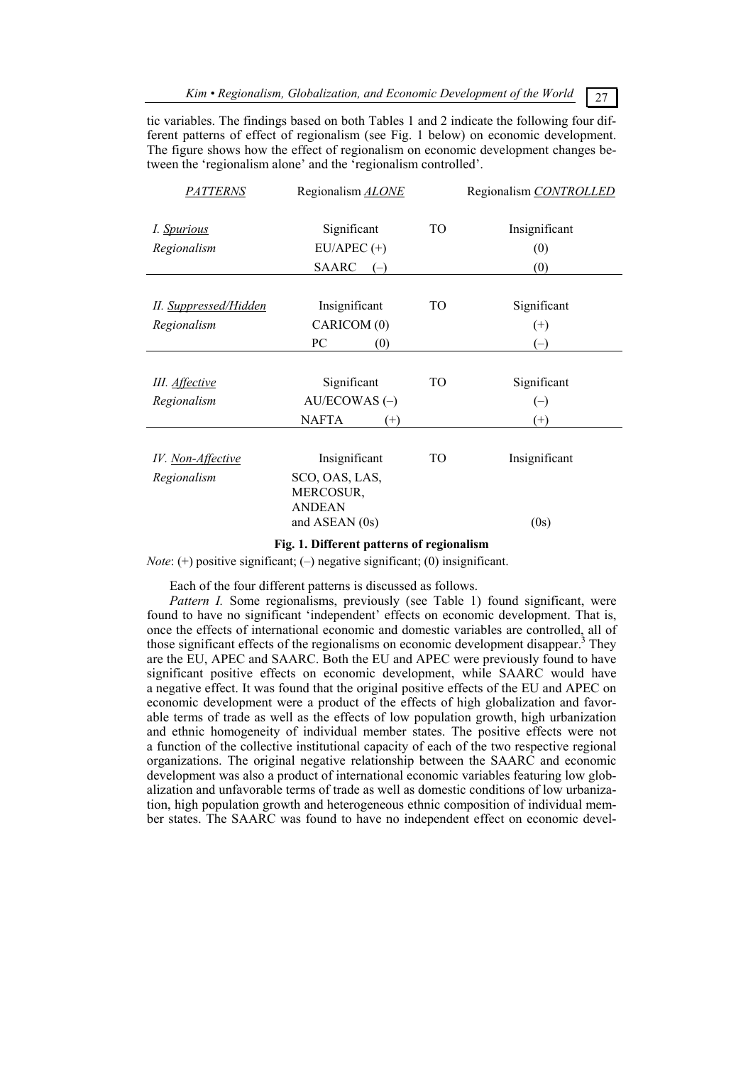*Kim • Regionalism, Globalization, and Economic Development of the World* 27

tic variables. The findings based on both Tables 1 and 2 indicate the following four different patterns of effect of regionalism (see Fig. 1 below) on economic development. The figure shows how the effect of regionalism on economic development changes between the 'regionalism alone' and the 'regionalism controlled'.

| <b>PATTERNS</b>       | Regionalism ALONE                            |           | Regionalism CONTROLLED |  |  |
|-----------------------|----------------------------------------------|-----------|------------------------|--|--|
|                       |                                              |           |                        |  |  |
| I. Spurious           | Significant                                  | TO        | Insignificant          |  |  |
| Regionalism           | $EU/APEC$ (+)                                |           | (0)                    |  |  |
|                       | <b>SAARC</b><br>$(-)$                        |           | (0)                    |  |  |
|                       |                                              |           |                        |  |  |
| II. Suppressed/Hidden | Insignificant                                | <b>TO</b> | Significant            |  |  |
| Regionalism           | CARICOM (0)                                  |           | $^{(+)}$               |  |  |
|                       | PC<br>(0)                                    |           | $\left( -\right)$      |  |  |
|                       |                                              |           |                        |  |  |
| III. Affective        | Significant                                  | TO        | Significant            |  |  |
| Regionalism           | $AU/ECOWAS (-)$                              |           | $(\text{-})$           |  |  |
|                       | <b>NAFTA</b><br>$^{(+)}$                     |           | $^{(+)}$               |  |  |
|                       |                                              |           |                        |  |  |
| IV. Non-Affective     | Insignificant                                | TO        | Insignificant          |  |  |
| Regionalism           | SCO, OAS, LAS,<br>MERCOSUR,<br><b>ANDEAN</b> |           |                        |  |  |
|                       | and ASEAN (0s)                               |           | (0s)                   |  |  |

#### **Fig. 1. Different patterns of regionalism**

*Note*: (+) positive significant; (-) negative significant; (0) insignificant.

Each of the four different patterns is discussed as follows.

*Pattern I.* Some regionalisms, previously (see Table 1) found significant, were found to have no significant 'independent' effects on economic development. That is, once the effects of international economic and domestic variables are controlled, all of those significant effects of the regionalisms on economic development disappear.<sup>3</sup> They are the EU, APEC and SAARC. Both the EU and APEC were previously found to have significant positive effects on economic development, while SAARC would have a negative effect. It was found that the original positive effects of the EU and APEC on economic development were a product of the effects of high globalization and favorable terms of trade as well as the effects of low population growth, high urbanization and ethnic homogeneity of individual member states. The positive effects were not a function of the collective institutional capacity of each of the two respective regional organizations. The original negative relationship between the SAARC and economic development was also a product of international economic variables featuring low globalization and unfavorable terms of trade as well as domestic conditions of low urbanization, high population growth and heterogeneous ethnic composition of individual member states. The SAARC was found to have no independent effect on economic devel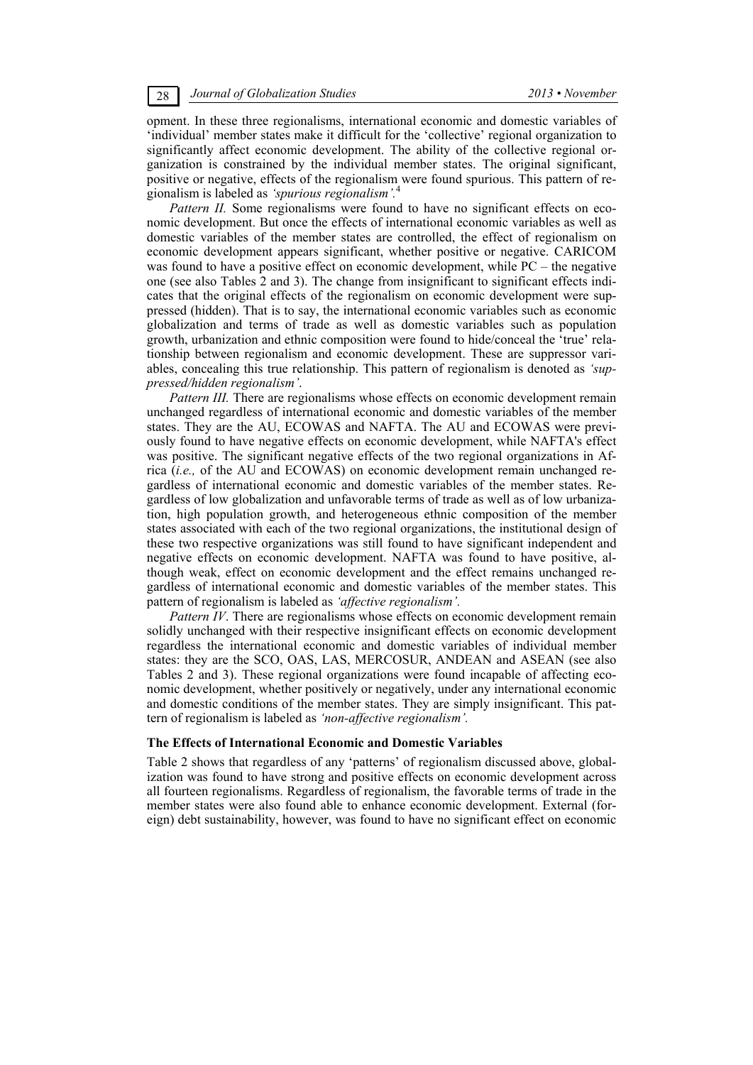opment. In these three regionalisms, international economic and domestic variables of 'individual' member states make it difficult for the 'collective' regional organization to significantly affect economic development. The ability of the collective regional organization is constrained by the individual member states. The original significant, positive or negative, effects of the regionalism were found spurious. This pattern of regionalism is labeled as *'spurious regionalism'.*<sup>4</sup>

*Pattern II.* Some regionalisms were found to have no significant effects on economic development. But once the effects of international economic variables as well as domestic variables of the member states are controlled, the effect of regionalism on economic development appears significant, whether positive or negative. CARICOM was found to have a positive effect on economic development, while PC – the negative one (see also Tables 2 and 3). The change from insignificant to significant effects indicates that the original effects of the regionalism on economic development were suppressed (hidden). That is to say, the international economic variables such as economic globalization and terms of trade as well as domestic variables such as population growth, urbanization and ethnic composition were found to hide/conceal the 'true' relationship between regionalism and economic development. These are suppressor variables, concealing this true relationship. This pattern of regionalism is denoted as *'suppressed/hidden regionalism'*.

*Pattern III.* There are regionalisms whose effects on economic development remain unchanged regardless of international economic and domestic variables of the member states. They are the AU, ECOWAS and NAFTA. The AU and ECOWAS were previously found to have negative effects on economic development, while NAFTA's effect was positive. The significant negative effects of the two regional organizations in Africa (*i.e.,* of the AU and ECOWAS) on economic development remain unchanged regardless of international economic and domestic variables of the member states. Regardless of low globalization and unfavorable terms of trade as well as of low urbanization, high population growth, and heterogeneous ethnic composition of the member states associated with each of the two regional organizations, the institutional design of these two respective organizations was still found to have significant independent and negative effects on economic development. NAFTA was found to have positive, although weak, effect on economic development and the effect remains unchanged regardless of international economic and domestic variables of the member states. This pattern of regionalism is labeled as *'affective regionalism'.*

*Pattern IV*. There are regionalisms whose effects on economic development remain solidly unchanged with their respective insignificant effects on economic development regardless the international economic and domestic variables of individual member states: they are the SCO, OAS, LAS, MERCOSUR, ANDEAN and ASEAN (see also Tables 2 and 3). These regional organizations were found incapable of affecting economic development, whether positively or negatively, under any international economic and domestic conditions of the member states. They are simply insignificant. This pattern of regionalism is labeled as *'non-affective regionalism'.*

# **The Effects of International Economic and Domestic Variables**

Table 2 shows that regardless of any 'patterns' of regionalism discussed above, globalization was found to have strong and positive effects on economic development across all fourteen regionalisms. Regardless of regionalism, the favorable terms of trade in the member states were also found able to enhance economic development. External (foreign) debt sustainability, however, was found to have no significant effect on economic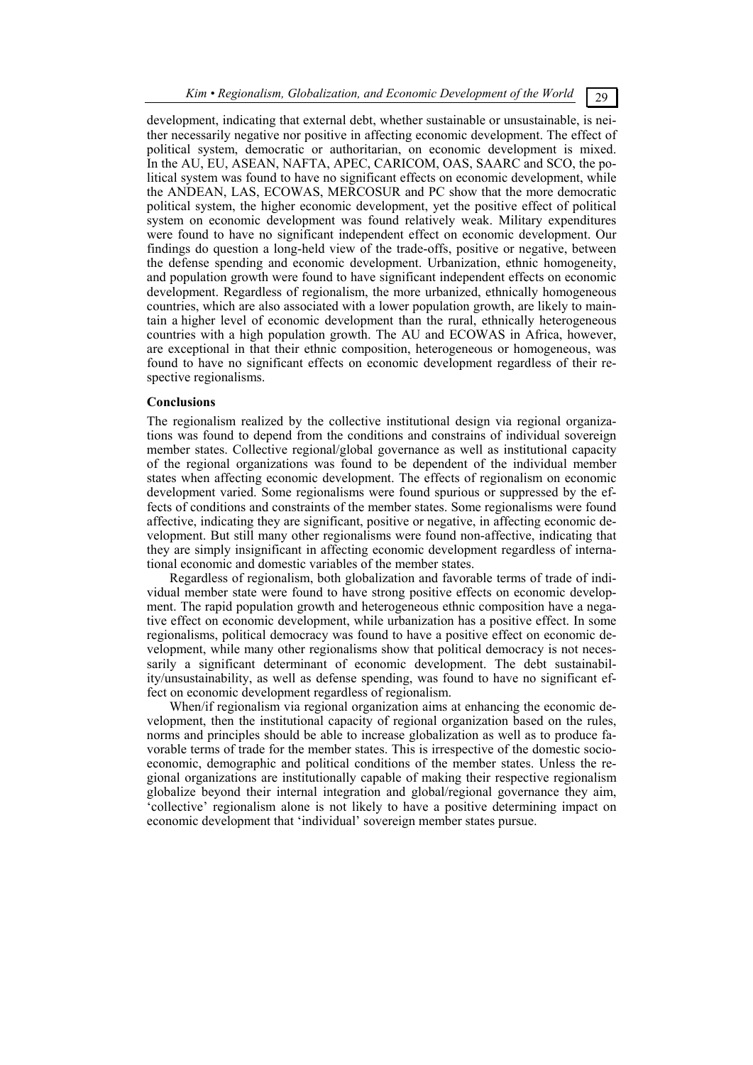development, indicating that external debt, whether sustainable or unsustainable, is neither necessarily negative nor positive in affecting economic development. The effect of political system, democratic or authoritarian, on economic development is mixed. In the AU, EU, ASEAN, NAFTA, APEC, CARICOM, OAS, SAARC and SCO, the political system was found to have no significant effects on economic development, while the ANDEAN, LAS, ECOWAS, MERCOSUR and PC show that the more democratic political system, the higher economic development, yet the positive effect of political system on economic development was found relatively weak. Military expenditures were found to have no significant independent effect on economic development. Our findings do question a long-held view of the trade-offs, positive or negative, between the defense spending and economic development. Urbanization, ethnic homogeneity, and population growth were found to have significant independent effects on economic development. Regardless of regionalism, the more urbanized, ethnically homogeneous countries, which are also associated with a lower population growth, are likely to maintain a higher level of economic development than the rural, ethnically heterogeneous countries with a high population growth. The AU and ECOWAS in Africa, however, are exceptional in that their ethnic composition, heterogeneous or homogeneous, was found to have no significant effects on economic development regardless of their respective regionalisms.

#### **Conclusions**

The regionalism realized by the collective institutional design via regional organizations was found to depend from the conditions and constrains of individual sovereign member states. Collective regional/global governance as well as institutional capacity of the regional organizations was found to be dependent of the individual member states when affecting economic development. The effects of regionalism on economic development varied. Some regionalisms were found spurious or suppressed by the effects of conditions and constraints of the member states. Some regionalisms were found affective, indicating they are significant, positive or negative, in affecting economic development. But still many other regionalisms were found non-affective, indicating that they are simply insignificant in affecting economic development regardless of international economic and domestic variables of the member states.

Regardless of regionalism, both globalization and favorable terms of trade of individual member state were found to have strong positive effects on economic development. The rapid population growth and heterogeneous ethnic composition have a negative effect on economic development, while urbanization has a positive effect. In some regionalisms, political democracy was found to have a positive effect on economic development, while many other regionalisms show that political democracy is not necessarily a significant determinant of economic development. The debt sustainability/unsustainability, as well as defense spending, was found to have no significant effect on economic development regardless of regionalism.

When/if regionalism via regional organization aims at enhancing the economic development, then the institutional capacity of regional organization based on the rules, norms and principles should be able to increase globalization as well as to produce favorable terms of trade for the member states. This is irrespective of the domestic socioeconomic, demographic and political conditions of the member states. Unless the regional organizations are institutionally capable of making their respective regionalism globalize beyond their internal integration and global/regional governance they aim, 'collective' regionalism alone is not likely to have a positive determining impact on economic development that 'individual' sovereign member states pursue.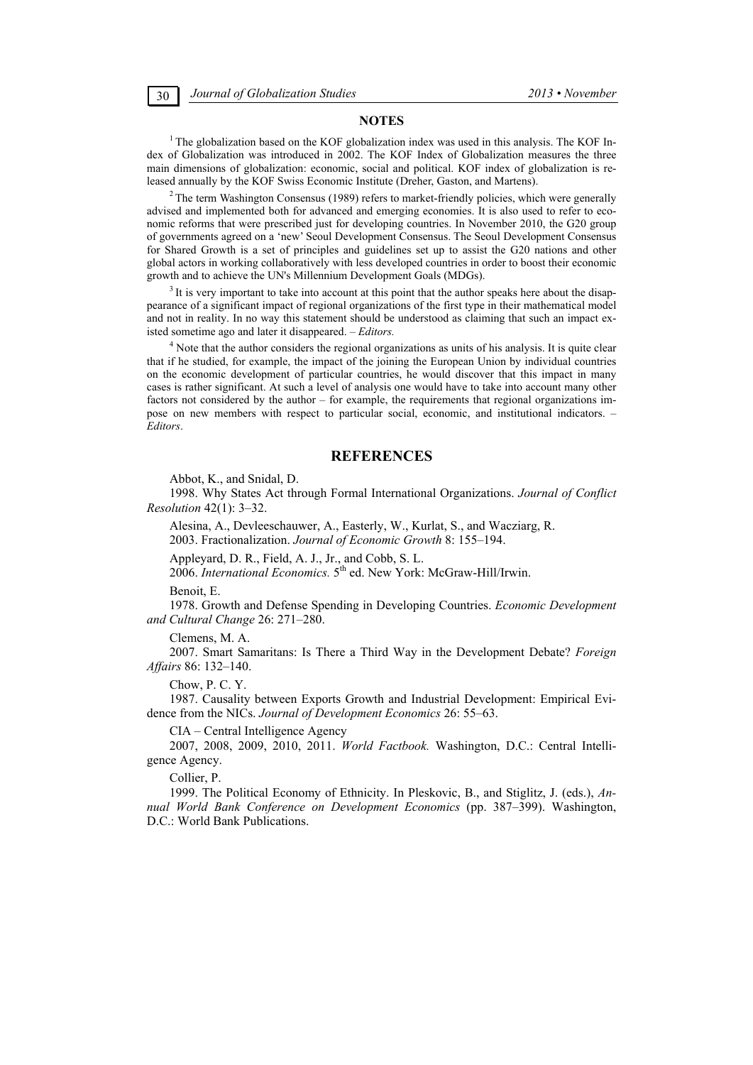#### **NOTES**

<sup>1</sup> The globalization based on the KOF globalization index was used in this analysis. The KOF Index of Globalization was introduced in 2002. The KOF Index of Globalization measures the three main dimensions of globalization: economic, social and political. KOF index of globalization is released annually by the KOF Swiss Economic Institute (Dreher, Gaston, and Martens).

 $2$  The term Washington Consensus (1989) refers to market-friendly policies, which were generally advised and implemented both for advanced and emerging economies. It is also used to refer to economic reforms that were prescribed just for developing countries. In November 2010, the G20 group of governments agreed on a 'new' Seoul Development Consensus. The Seoul Development Consensus for Shared Growth is a set of principles and guidelines set up to assist the G20 nations and other global actors in working collaboratively with less developed countries in order to boost their economic growth and to achieve the UN's Millennium Development Goals (MDGs).

<sup>3</sup> It is very important to take into account at this point that the author speaks here about the disappearance of a significant impact of regional organizations of the first type in their mathematical model and not in reality. In no way this statement should be understood as claiming that such an impact existed sometime ago and later it disappeared. – *Editors.*

<sup>4</sup> Note that the author considers the regional organizations as units of his analysis. It is quite clear that if he studied, for example, the impact of the joining the European Union by individual countries on the economic development of particular countries, he would discover that this impact in many cases is rather significant. At such a level of analysis one would have to take into account many other factors not considered by the author – for example, the requirements that regional organizations impose on new members with respect to particular social, economic, and institutional indicators. – *Editors*.

#### **REFERENCES**

Abbot, K., and Snidal, D.

1998. Why States Act through Formal International Organizations. *Journal of Conflict Resolution* 42(1): 3–32.

Alesina, A., Devleeschauwer, A., Easterly, W., Kurlat, S., and Wacziarg, R. 2003. Fractionalization. *Journal of Economic Growth* 8: 155–194.

Appleyard, D. R., Field, A. J., Jr., and Cobb, S. L.

2006. *International Economics.* 5th ed. New York: McGraw-Hill/Irwin.

Benoit, E.

1978. Growth and Defense Spending in Developing Countries. *Economic Development and Cultural Change* 26: 271–280.

Clemens, M. A.

2007. Smart Samaritans: Is There a Third Way in the Development Debate? *Foreign Affairs* 86: 132–140.

Chow, P. C. Y.

1987. Causality between Exports Growth and Industrial Development: Empirical Evidence from the NICs. *Journal of Development Economics* 26: 55–63.

CIA – Central Intelligence Agency

2007, 2008, 2009, 2010, 2011. *World Factbook.* Washington, D.C.: Central Intelligence Agency.

Collier, P.

1999. The Political Economy of Ethnicity. In Pleskovic, B., and Stiglitz, J. (eds.), *Annual World Bank Conference on Development Economics* (pp. 387–399). Washington, D.C.: World Bank Publications.